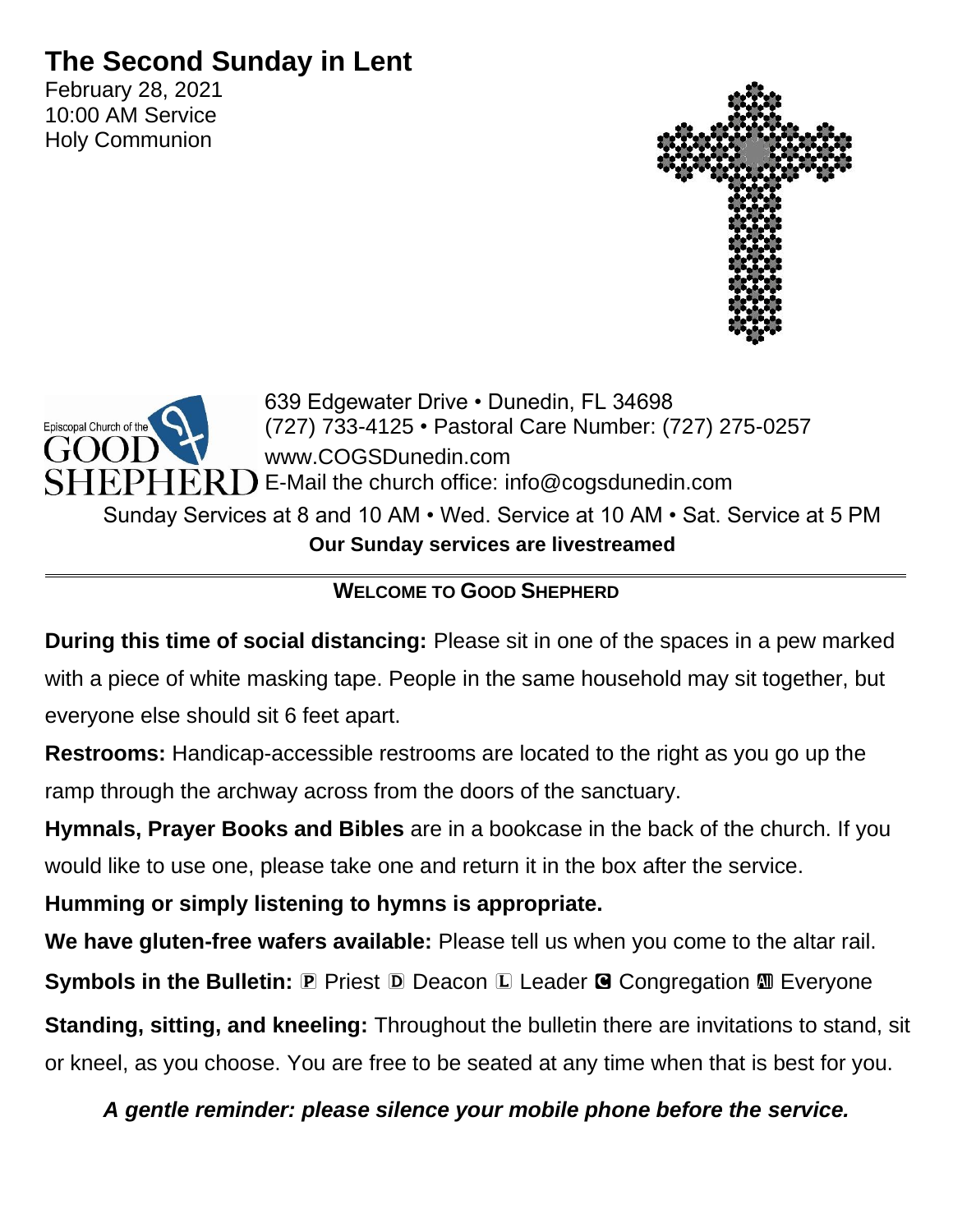# **The Second Sunday in Lent**

February 28, 2021 10:00 AM Service Holy Communion





#### **WELCOME TO GOOD SHEPHERD**

**During this time of social distancing:** Please sit in one of the spaces in a pew marked with a piece of white masking tape. People in the same household may sit together, but everyone else should sit 6 feet apart.

**Restrooms:** Handicap-accessible restrooms are located to the right as you go up the ramp through the archway across from the doors of the sanctuary.

**Hymnals, Prayer Books and Bibles** are in a bookcase in the back of the church. If you would like to use one, please take one and return it in the box after the service.

**Humming or simply listening to hymns is appropriate.**

**We have gluten-free wafers available:** Please tell us when you come to the altar rail.

**Symbols in the Bulletin: P Priest D Deacon L Leader G Congregation M Everyone** 

**Standing, sitting, and kneeling:** Throughout the bulletin there are invitations to stand, sit or kneel, as you choose. You are free to be seated at any time when that is best for you.

*A gentle reminder: please silence your mobile phone before the service.*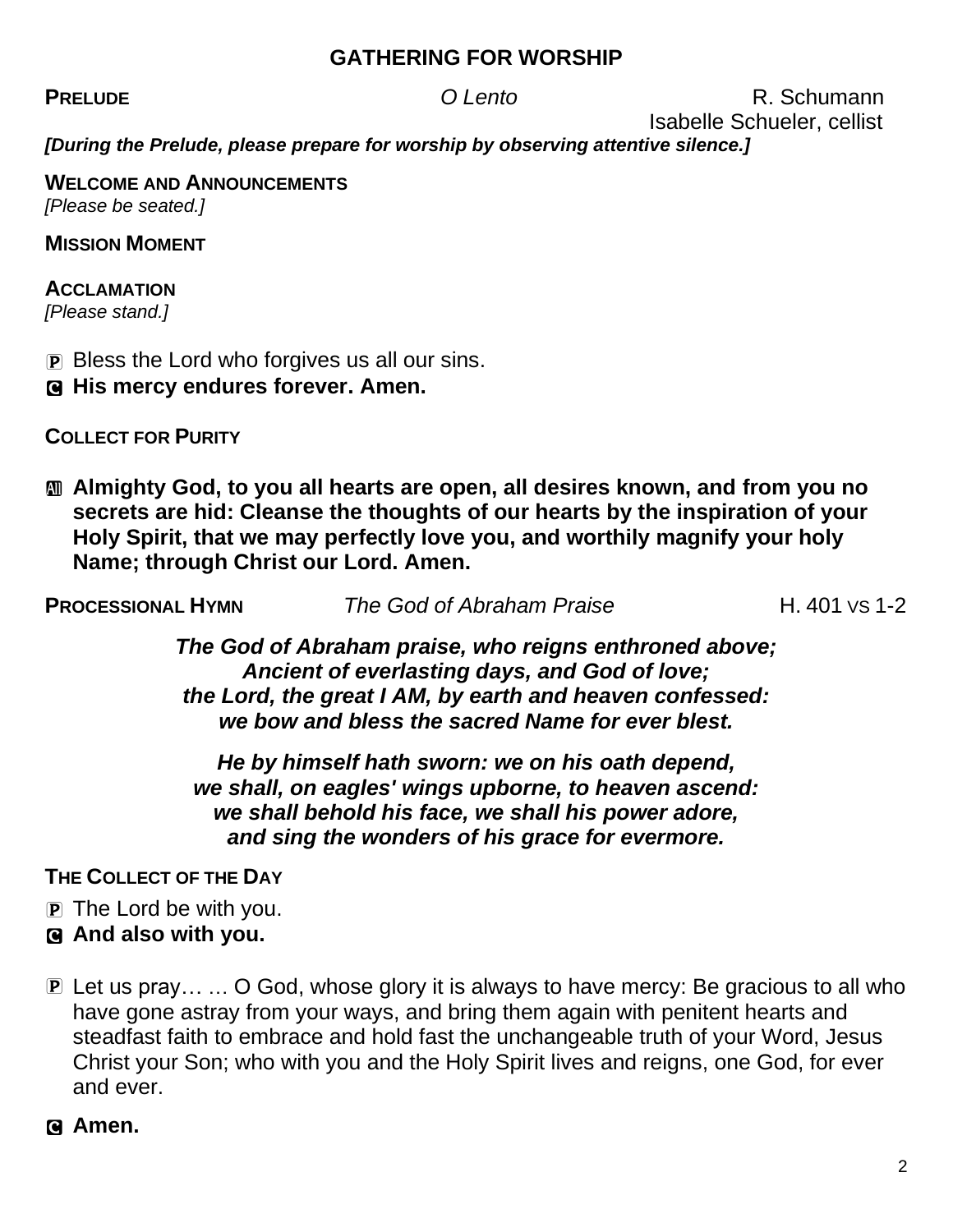## **GATHERING FOR WORSHIP**

**PRELUDE** *O Lento* R. Schumann Isabelle Schueler, cellist

*[During the Prelude, please prepare for worship by observing attentive silence.]*

**WELCOME AND ANNOUNCEMENTS** *[Please be seated.]*

#### **MISSION MOMENT**

#### **ACCLAMATION**

*[Please stand.]*

- P Bless the Lord who forgives us all our sins.
- C **His mercy endures forever. Amen.**

**COLLECT FOR PURITY**

**EXED Almighty God, to you all hearts are open, all desires known, and from you no secrets are hid: Cleanse the thoughts of our hearts by the inspiration of your Holy Spirit, that we may perfectly love you, and worthily magnify your holy Name; through Christ our Lord. Amen.**

| <b>PROCESSIONAL HYMN</b> | The God of Abraham Praise | H. 401 vs 1-2 |
|--------------------------|---------------------------|---------------|
|                          |                           |               |

*The God of Abraham praise, who reigns enthroned above; Ancient of everlasting days, and God of love; the Lord, the great I AM, by earth and heaven confessed: we bow and bless the sacred Name for ever blest.*

*He by himself hath sworn: we on his oath depend, we shall, on eagles' wings upborne, to heaven ascend: we shall behold his face, we shall his power adore, and sing the wonders of his grace for evermore.*

#### **THE COLLECT OF THE DAY**

- $\mathbf{P}$  The Lord be with you.
- C **And also with you.**
- P Let us pray… … O God, whose glory it is always to have mercy: Be gracious to all who have gone astray from your ways, and bring them again with penitent hearts and steadfast faith to embrace and hold fast the unchangeable truth of your Word, Jesus Christ your Son; who with you and the Holy Spirit lives and reigns, one God, for ever and ever.

#### C **Amen.**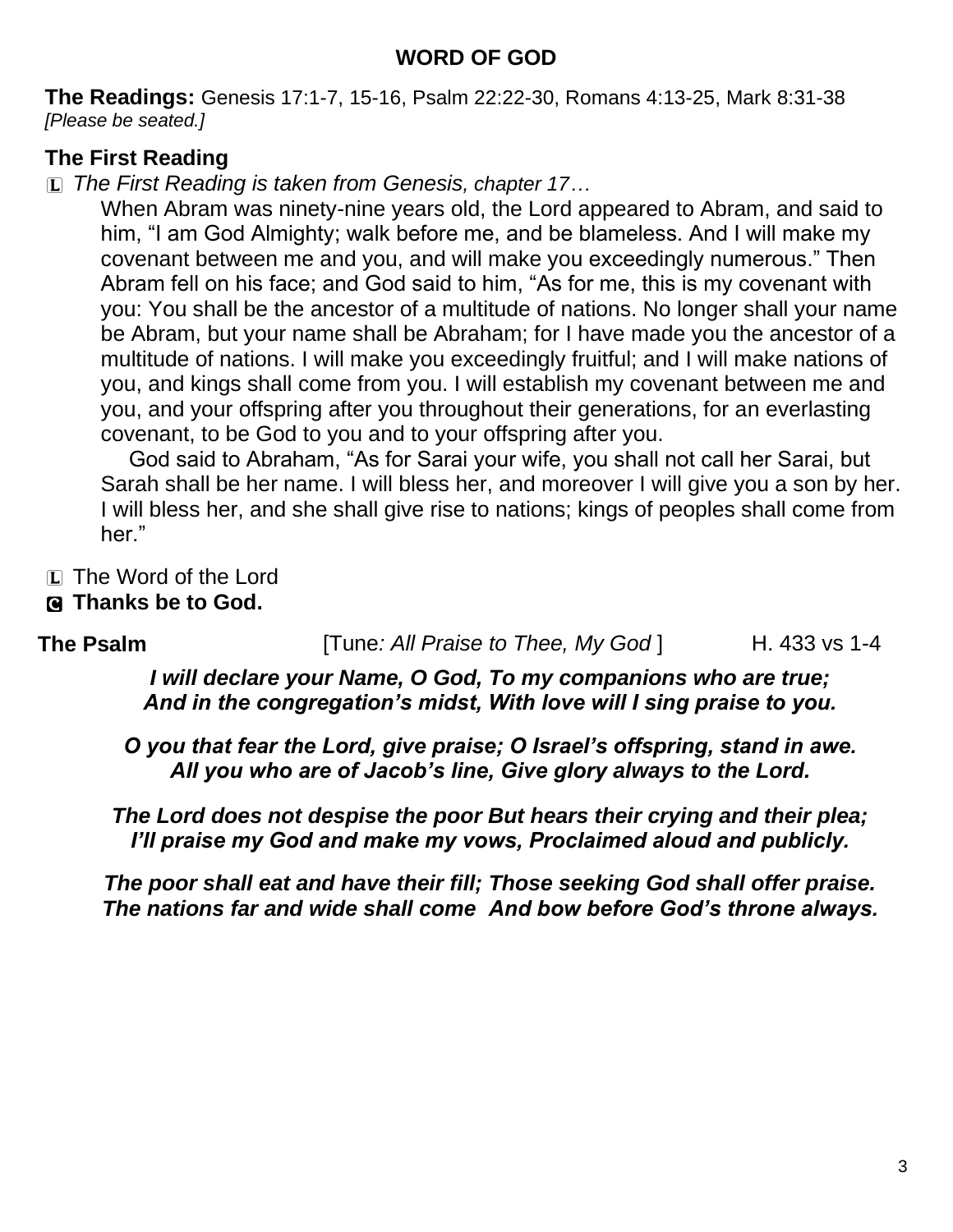# **WORD OF GOD**

**The Readings:** Genesis 17:1-7, 15-16, Psalm 22:22-30, Romans 4:13-25, Mark 8:31-38 *[Please be seated.]*

## **The First Reading**

L *The First Reading is taken from Genesis, chapter 17…*

When Abram was ninety-nine years old, the Lord appeared to Abram, and said to him, "I am God Almighty; walk before me, and be blameless. And I will make my covenant between me and you, and will make you exceedingly numerous." Then Abram fell on his face; and God said to him, "As for me, this is my covenant with you: You shall be the ancestor of a multitude of nations. No longer shall your name be Abram, but your name shall be Abraham; for I have made you the ancestor of a multitude of nations. I will make you exceedingly fruitful; and I will make nations of you, and kings shall come from you. I will establish my covenant between me and you, and your offspring after you throughout their generations, for an everlasting covenant, to be God to you and to your offspring after you.

God said to Abraham, "As for Sarai your wife, you shall not call her Sarai, but Sarah shall be her name. I will bless her, and moreover I will give you a son by her. I will bless her, and she shall give rise to nations; kings of peoples shall come from her."

L The Word of the Lord

## C **Thanks be to God.**

**The Psalm** [Tune: All Praise to Thee, My God ] H. 433 vs 1-4

*I will declare your Name, O God, To my companions who are true; And in the congregation's midst, With love will I sing praise to you.*

*O you that fear the Lord, give praise; O Israel's offspring, stand in awe. All you who are of Jacob's line, Give glory always to the Lord.*

*The Lord does not despise the poor But hears their crying and their plea; I'll praise my God and make my vows, Proclaimed aloud and publicly.*

*The poor shall eat and have their fill; Those seeking God shall offer praise. The nations far and wide shall come And bow before God's throne always.*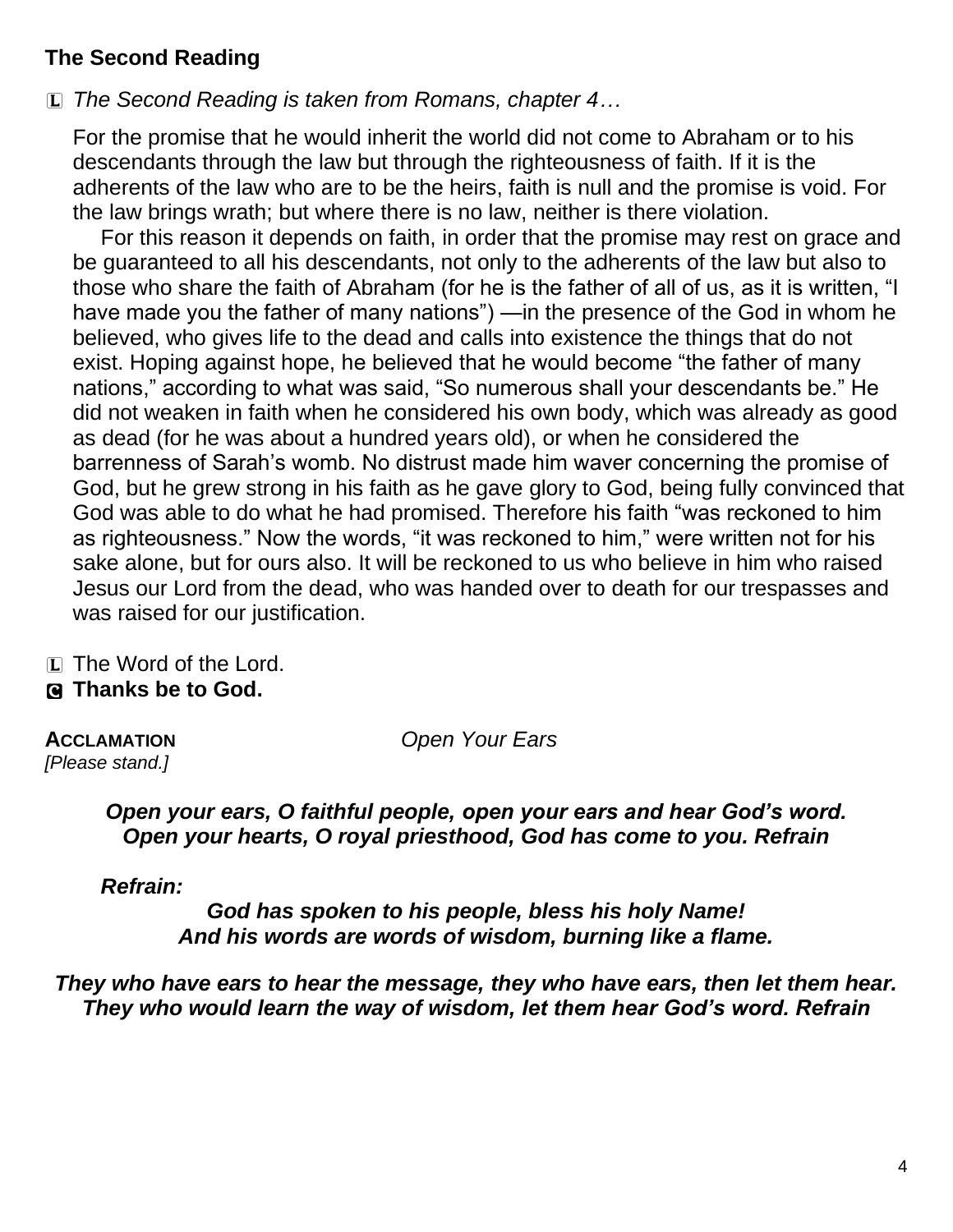# **The Second Reading**

#### L *The Second Reading is taken from Romans, chapter 4…*

For the promise that he would inherit the world did not come to Abraham or to his descendants through the law but through the righteousness of faith. If it is the adherents of the law who are to be the heirs, faith is null and the promise is void. For the law brings wrath; but where there is no law, neither is there violation.

For this reason it depends on faith, in order that the promise may rest on grace and be guaranteed to all his descendants, not only to the adherents of the law but also to those who share the faith of Abraham (for he is the father of all of us, as it is written, "I have made you the father of many nations") —in the presence of the God in whom he believed, who gives life to the dead and calls into existence the things that do not exist. Hoping against hope, he believed that he would become "the father of many nations," according to what was said, "So numerous shall your descendants be." He did not weaken in faith when he considered his own body, which was already as good as dead (for he was about a hundred years old), or when he considered the barrenness of Sarah's womb. No distrust made him waver concerning the promise of God, but he grew strong in his faith as he gave glory to God, being fully convinced that God was able to do what he had promised. Therefore his faith "was reckoned to him as righteousness." Now the words, "it was reckoned to him," were written not for his sake alone, but for ours also. It will be reckoned to us who believe in him who raised Jesus our Lord from the dead, who was handed over to death for our trespasses and was raised for our justification.

L The Word of the Lord.

#### C **Thanks be to God.**

*[Please stand.]*

**ACCLAMATION** *Open Your Ears*

*Open your ears, O faithful people, open your ears and hear God's word. Open your hearts, O royal priesthood, God has come to you. Refrain*

*Refrain:*

*God has spoken to his people, bless his holy Name! And his words are words of wisdom, burning like a flame.*

*They who have ears to hear the message, they who have ears, then let them hear. They who would learn the way of wisdom, let them hear God's word. Refrain*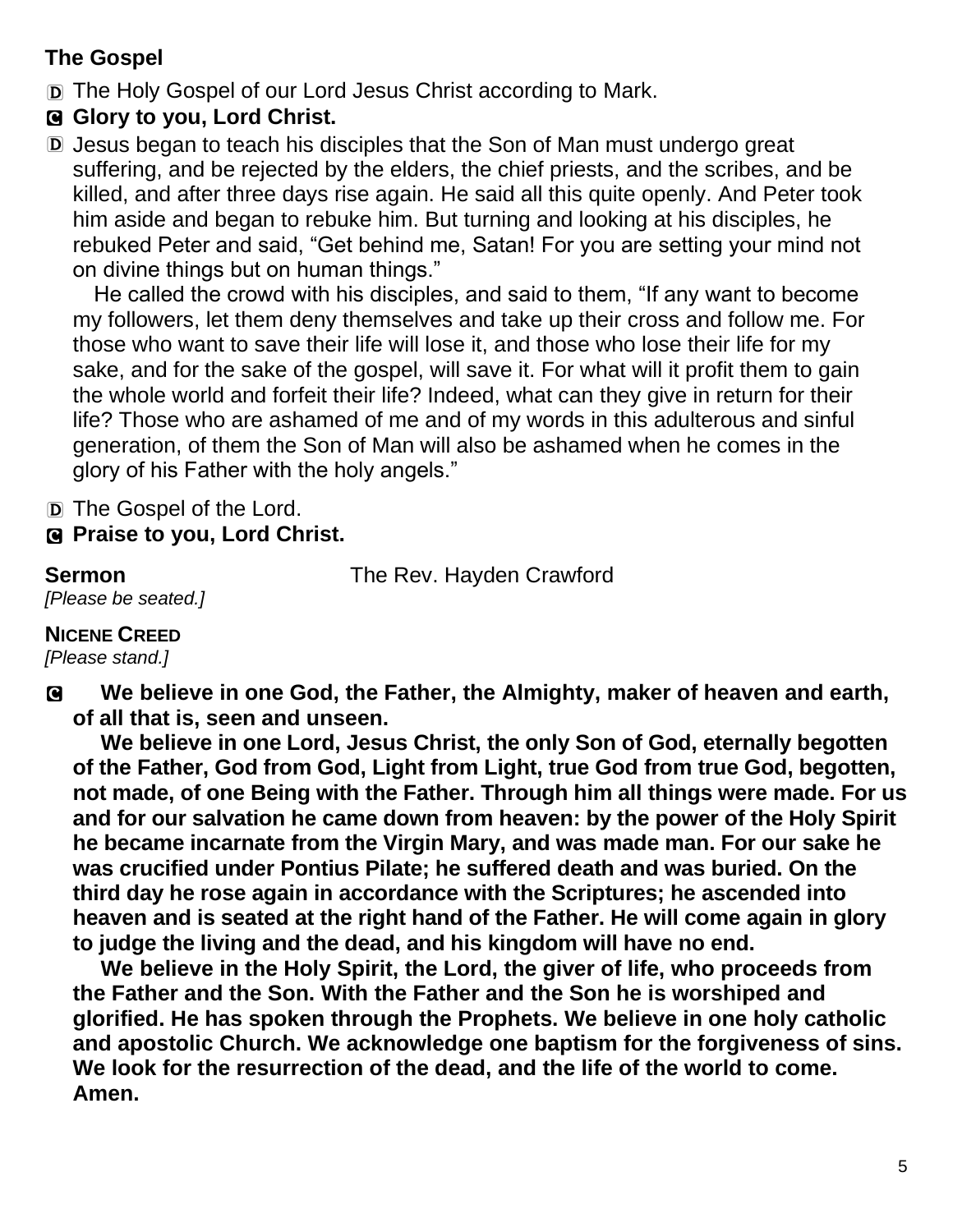# **The Gospel**

- D The Holy Gospel of our Lord Jesus Christ according to Mark.
- C **Glory to you, Lord Christ.**
- D Jesus began to teach his disciples that the Son of Man must undergo great suffering, and be rejected by the elders, the chief priests, and the scribes, and be killed, and after three days rise again. He said all this quite openly. And Peter took him aside and began to rebuke him. But turning and looking at his disciples, he rebuked Peter and said, "Get behind me, Satan! For you are setting your mind not on divine things but on human things."

He called the crowd with his disciples, and said to them, "If any want to become my followers, let them deny themselves and take up their cross and follow me. For those who want to save their life will lose it, and those who lose their life for my sake, and for the sake of the gospel, will save it. For what will it profit them to gain the whole world and forfeit their life? Indeed, what can they give in return for their life? Those who are ashamed of me and of my words in this adulterous and sinful generation, of them the Son of Man will also be ashamed when he comes in the glory of his Father with the holy angels."

- D The Gospel of the Lord.
- C **Praise to you, Lord Christ.**

*[Please be seated.]*

**Sermon** The Rev. Hayden Crawford

#### **NICENE CREED**

*[Please stand.]*

- 
- C **We believe in one God, the Father, the Almighty, maker of heaven and earth, of all that is, seen and unseen.**

**We believe in one Lord, Jesus Christ, the only Son of God, eternally begotten of the Father, God from God, Light from Light, true God from true God, begotten, not made, of one Being with the Father. Through him all things were made. For us and for our salvation he came down from heaven: by the power of the Holy Spirit he became incarnate from the Virgin Mary, and was made man. For our sake he was crucified under Pontius Pilate; he suffered death and was buried. On the third day he rose again in accordance with the Scriptures; he ascended into heaven and is seated at the right hand of the Father. He will come again in glory to judge the living and the dead, and his kingdom will have no end.**

**We believe in the Holy Spirit, the Lord, the giver of life, who proceeds from the Father and the Son. With the Father and the Son he is worshiped and glorified. He has spoken through the Prophets. We believe in one holy catholic and apostolic Church. We acknowledge one baptism for the forgiveness of sins. We look for the resurrection of the dead, and the life of the world to come. Amen.**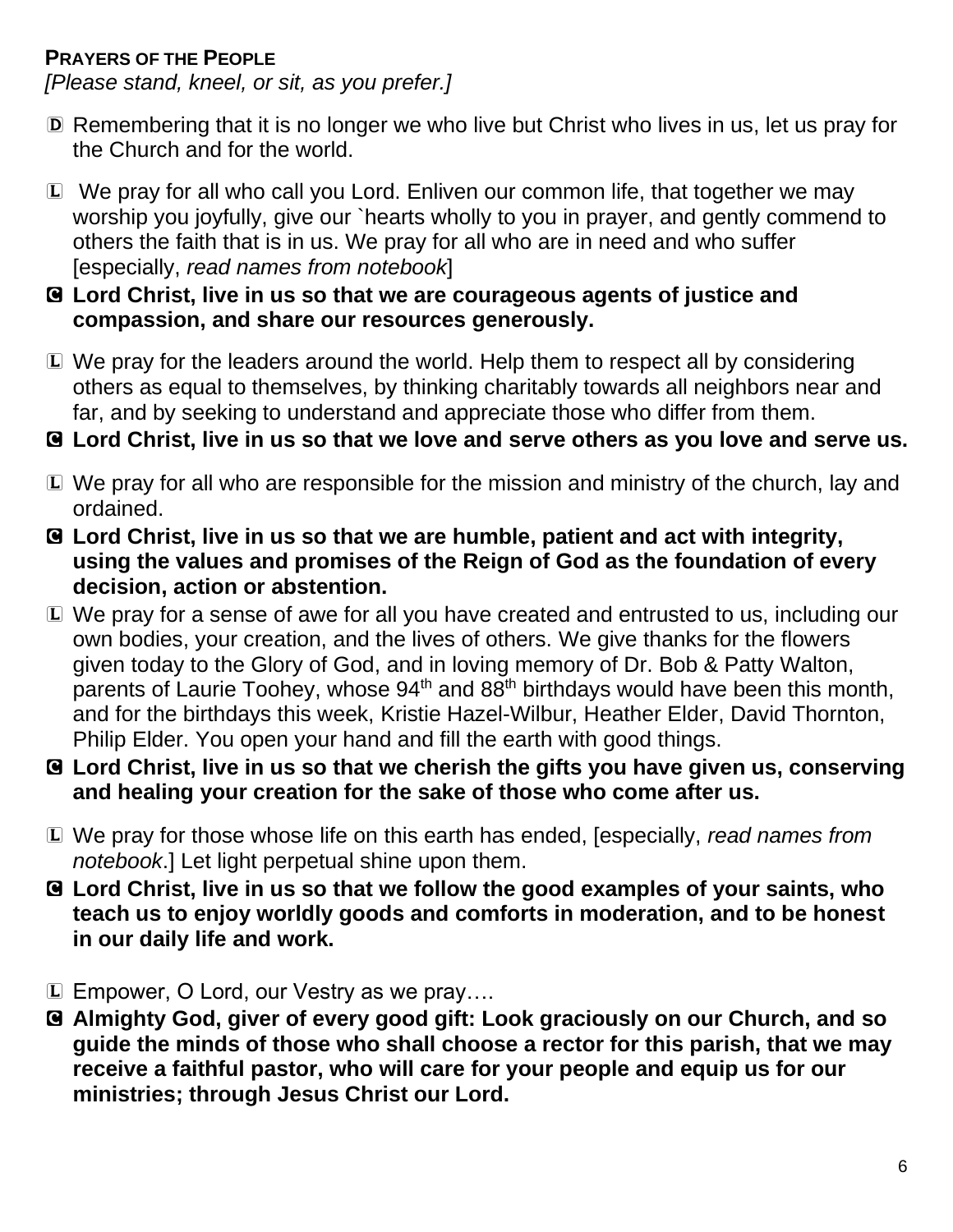## **PRAYERS OF THE PEOPLE**

*[Please stand, kneel, or sit, as you prefer.]*

- D Remembering that it is no longer we who live but Christ who lives in us, let us pray for the Church and for the world.
- L We pray for all who call you Lord. Enliven our common life, that together we may worship you joyfully, give our `hearts wholly to you in prayer, and gently commend to others the faith that is in us. We pray for all who are in need and who suffer [especially, *read names from notebook*]
- C **Lord Christ, live in us so that we are courageous agents of justice and compassion, and share our resources generously.**
- L We pray for the leaders around the world. Help them to respect all by considering others as equal to themselves, by thinking charitably towards all neighbors near and far, and by seeking to understand and appreciate those who differ from them.
- C **Lord Christ, live in us so that we love and serve others as you love and serve us.**
- L We pray for all who are responsible for the mission and ministry of the church, lay and ordained.
- C **Lord Christ, live in us so that we are humble, patient and act with integrity, using the values and promises of the Reign of God as the foundation of every decision, action or abstention.**
- L We pray for a sense of awe for all you have created and entrusted to us, including our own bodies, your creation, and the lives of others. We give thanks for the flowers given today to the Glory of God, and in loving memory of Dr. Bob & Patty Walton, parents of Laurie Toohey, whose  $94<sup>th</sup>$  and  $88<sup>th</sup>$  birthdays would have been this month, and for the birthdays this week, Kristie Hazel-Wilbur, Heather Elder, David Thornton, Philip Elder. You open your hand and fill the earth with good things.
- C **Lord Christ, live in us so that we cherish the gifts you have given us, conserving and healing your creation for the sake of those who come after us.**
- L We pray for those whose life on this earth has ended, [especially, *read names from notebook*.] Let light perpetual shine upon them.
- C **Lord Christ, live in us so that we follow the good examples of your saints, who teach us to enjoy worldly goods and comforts in moderation, and to be honest in our daily life and work.**
- L Empower, O Lord, our Vestry as we pray….
- C **Almighty God, giver of every good gift: Look graciously on our Church, and so guide the minds of those who shall choose a rector for this parish, that we may receive a faithful pastor, who will care for your people and equip us for our ministries; through Jesus Christ our Lord.**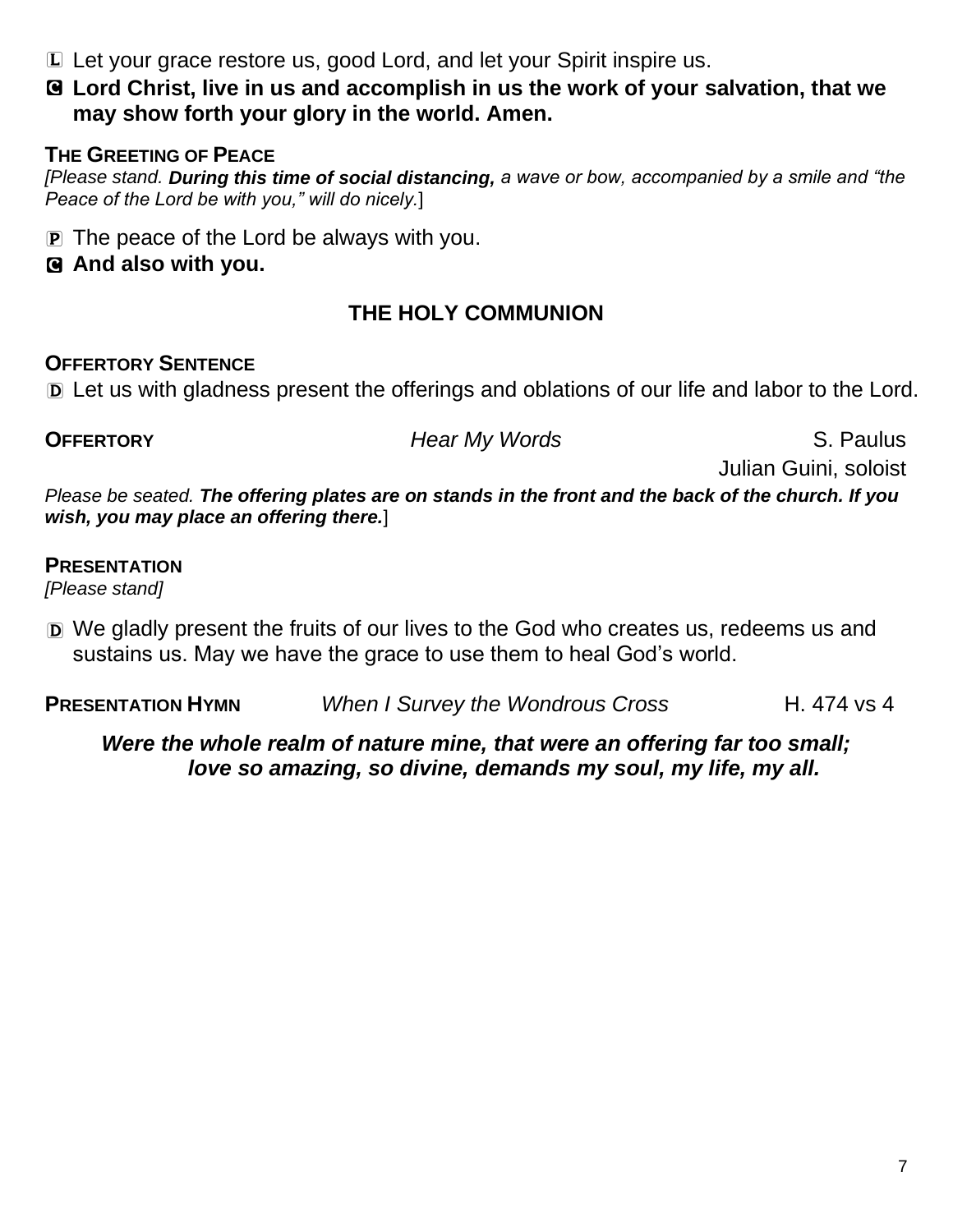- L Let your grace restore us, good Lord, and let your Spirit inspire us.
- C **Lord Christ, live in us and accomplish in us the work of your salvation, that we may show forth your glory in the world. Amen.**

#### **THE GREETING OF PEACE**

*[Please stand. During this time of social distancing, a wave or bow, accompanied by a smile and "the Peace of the Lord be with you," will do nicely.*]

- $\overline{P}$  The peace of the Lord be always with you.
- C **And also with you.**

# **THE HOLY COMMUNION**

#### **OFFERTORY SENTENCE**

D Let us with gladness present the offerings and oblations of our life and labor to the Lord.

**OFFERTORY** *Hear My Words* S. Paulus

Julian Guini, soloist

*Please be seated. The offering plates are on stands in the front and the back of the church. If you wish, you may place an offering there.*]

#### **PRESENTATION**

*[Please stand]*

D We gladly present the fruits of our lives to the God who creates us, redeems us and sustains us. May we have the grace to use them to heal God's world.

**PRESENTATION HYMN** *When I Survey the Wondrous Cross* **H. 474 vs 4** 

*Were the whole realm of nature mine, that were an offering far too small; love so amazing, so divine, demands my soul, my life, my all.*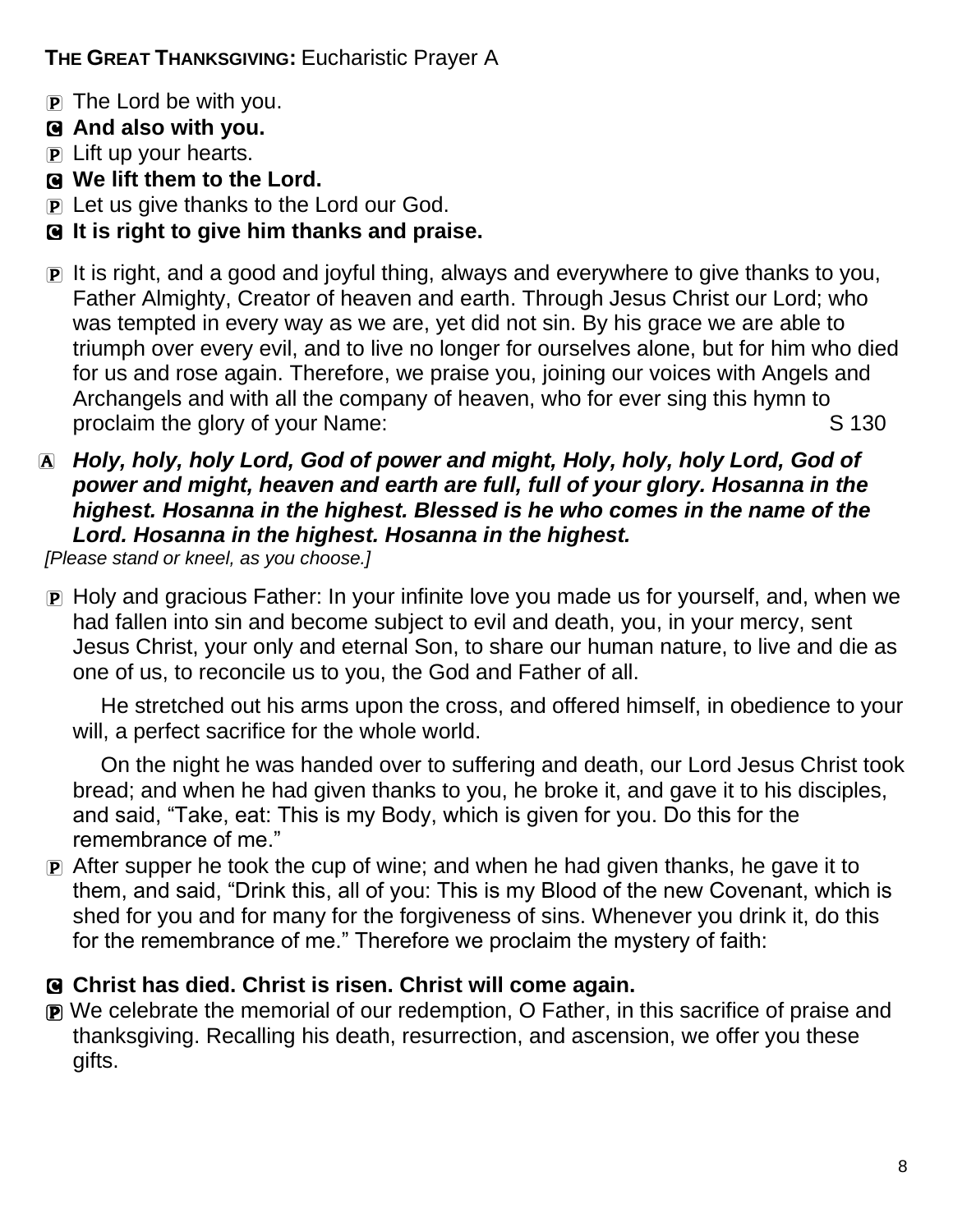**THE GREAT THANKSGIVING:** Eucharistic Prayer A

- P The Lord be with you.
- C **And also with you.**
- P Lift up your hearts.
- C **We lift them to the Lord.**
- P Let us give thanks to the Lord our God.
- C **It is right to give him thanks and praise.**
- P It is right, and a good and joyful thing, always and everywhere to give thanks to you, Father Almighty, Creator of heaven and earth. Through Jesus Christ our Lord; who was tempted in every way as we are, yet did not sin. By his grace we are able to triumph over every evil, and to live no longer for ourselves alone, but for him who died for us and rose again. Therefore, we praise you, joining our voices with Angels and Archangels and with all the company of heaven, who for ever sing this hymn to proclaim the glory of your Name: S 130

# A *Holy, holy, holy Lord, God of power and might, Holy, holy, holy Lord, God of power and might, heaven and earth are full, full of your glory. Hosanna in the highest. Hosanna in the highest. Blessed is he who comes in the name of the Lord. Hosanna in the highest. Hosanna in the highest.*

*[Please stand or kneel, as you choose.]*

P Holy and gracious Father: In your infinite love you made us for yourself, and, when we had fallen into sin and become subject to evil and death, you, in your mercy, sent Jesus Christ, your only and eternal Son, to share our human nature, to live and die as one of us, to reconcile us to you, the God and Father of all.

He stretched out his arms upon the cross, and offered himself, in obedience to your will, a perfect sacrifice for the whole world.

On the night he was handed over to suffering and death, our Lord Jesus Christ took bread; and when he had given thanks to you, he broke it, and gave it to his disciples, and said, "Take, eat: This is my Body, which is given for you. Do this for the remembrance of me."

P After supper he took the cup of wine; and when he had given thanks, he gave it to them, and said, "Drink this, all of you: This is my Blood of the new Covenant, which is shed for you and for many for the forgiveness of sins. Whenever you drink it, do this for the remembrance of me." Therefore we proclaim the mystery of faith:

# C **Christ has died. Christ is risen. Christ will come again.**

P We celebrate the memorial of our redemption, O Father, in this sacrifice of praise and thanksgiving. Recalling his death, resurrection, and ascension, we offer you these gifts.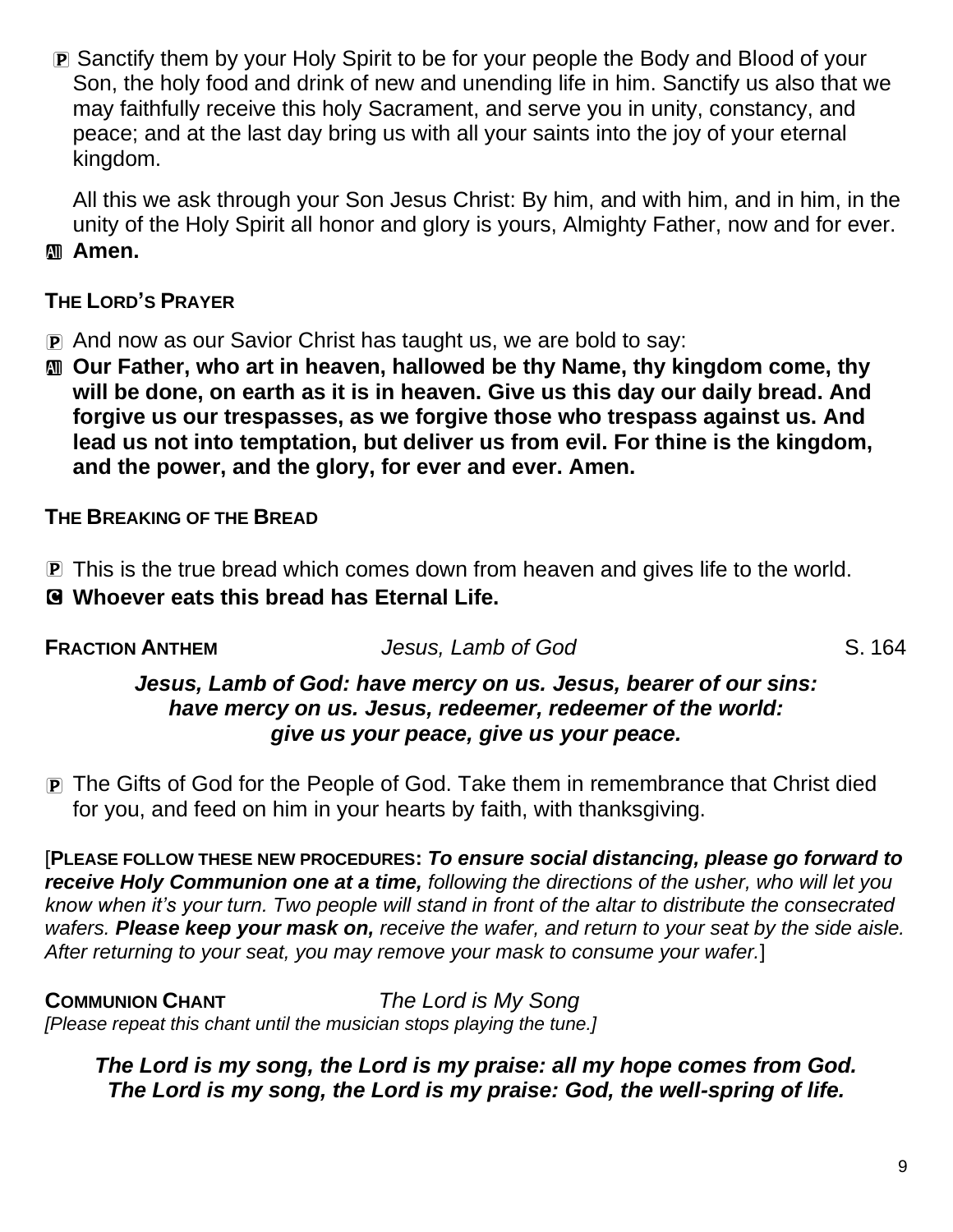P Sanctify them by your Holy Spirit to be for your people the Body and Blood of your Son, the holy food and drink of new and unending life in him. Sanctify us also that we may faithfully receive this holy Sacrament, and serve you in unity, constancy, and peace; and at the last day bring us with all your saints into the joy of your eternal kingdom.

All this we ask through your Son Jesus Christ: By him, and with him, and in him, in the unity of the Holy Spirit all honor and glory is yours, Almighty Father, now and for ever.  $m$  Amen.

# **THE LORD'S PRAYER**

- P And now as our Savior Christ has taught us, we are bold to say:
- $\text{M}$  **Our Father, who art in heaven, hallowed be thy Name, thy kingdom come, thy will be done, on earth as it is in heaven. Give us this day our daily bread. And forgive us our trespasses, as we forgive those who trespass against us. And lead us not into temptation, but deliver us from evil. For thine is the kingdom, and the power, and the glory, for ever and ever. Amen.**

#### **THE BREAKING OF THE BREAD**

- P This is the true bread which comes down from heaven and gives life to the world.
- C **Whoever eats this bread has Eternal Life.**

**FRACTION ANTHEM** *Jesus, Lamb of God* S. 164 *Jesus, Lamb of God: have mercy on us. Jesus, bearer of our sins:*

# *have mercy on us. Jesus, redeemer, redeemer of the world: give us your peace, give us your peace.*

P The Gifts of God for the People of God. Take them in remembrance that Christ died for you, and feed on him in your hearts by faith, with thanksgiving.

[**PLEASE FOLLOW THESE NEW PROCEDURES:** *To ensure social distancing, please go forward to receive Holy Communion one at a time, following the directions of the usher, who will let you know when it's your turn. Two people will stand in front of the altar to distribute the consecrated wafers. Please keep your mask on, receive the wafer, and return to your seat by the side aisle. After returning to your seat, you may remove your mask to consume your wafer.*]

**COMMUNION CHANT** *The Lord is My Song [Please repeat this chant until the musician stops playing the tune.]*

## *The Lord is my song, the Lord is my praise: all my hope comes from God. The Lord is my song, the Lord is my praise: God, the well-spring of life.*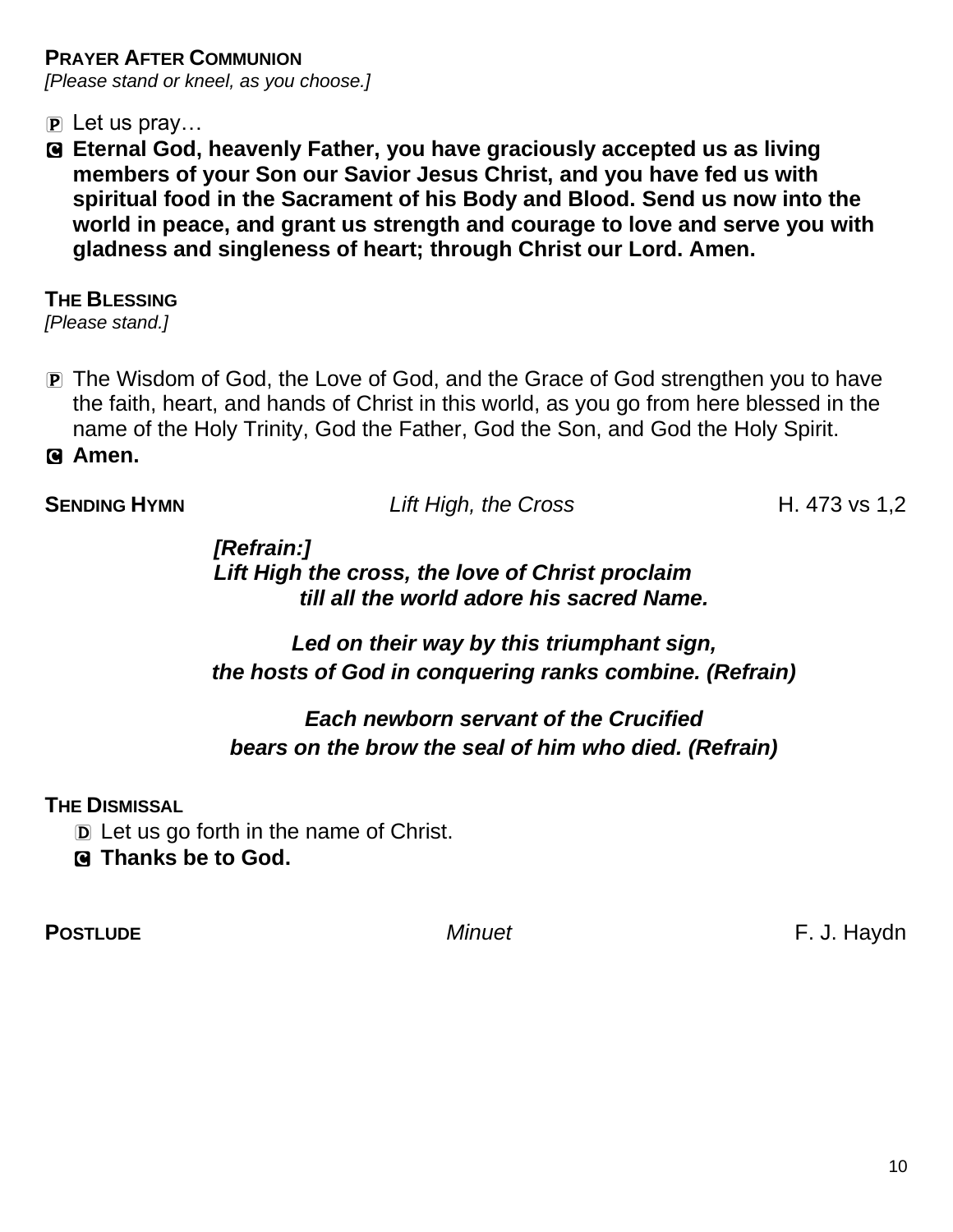**PRAYER AFTER COMMUNION** *[Please stand or kneel, as you choose.]*

 $\mathbf{P}$  Let us pray...

C **Eternal God, heavenly Father, you have graciously accepted us as living members of your Son our Savior Jesus Christ, and you have fed us with spiritual food in the Sacrament of his Body and Blood. Send us now into the world in peace, and grant us strength and courage to love and serve you with gladness and singleness of heart; through Christ our Lord. Amen.**

**THE BLESSING**

*[Please stand.]*

P The Wisdom of God, the Love of God, and the Grace of God strengthen you to have the faith, heart, and hands of Christ in this world, as you go from here blessed in the name of the Holy Trinity, God the Father, God the Son, and God the Holy Spirit.

C **Amen.**

**SENDING HYMN** *Lift High, the Cross* **H. 473 vs 1,2** 

*[Refrain:] Lift High the cross, the love of Christ proclaim till all the world adore his sacred Name.*

# *Led on their way by this triumphant sign, the hosts of God in conquering ranks combine. (Refrain)*

# *Each newborn servant of the Crucified bears on the brow the seal of him who died. (Refrain)*

**THE DISMISSAL** 

D Let us go forth in the name of Christ.

C **Thanks be to God.** 

**POSTLUDE** *Minuet* F. J. Haydn